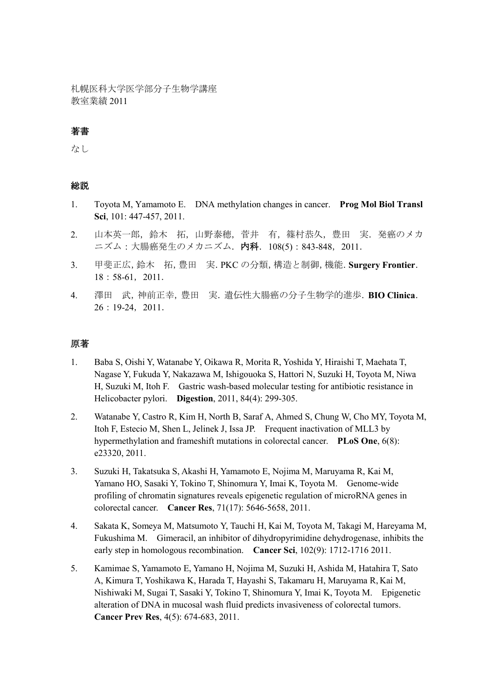札幌医科大学医学部分子生物学講座 教室業績 2011

### 著書

なし

### 総説

- 1. Toyota M, Yamamoto E. DNA methylation changes in cancer. **Prog Mol Biol Transl Sci**, 101: 447-457, 2011.
- 2. 山本英一郎,鈴木 拓,山野泰穂,菅井 有,篠村恭久,豊田 実.発癌のメカ ニズム:大腸癌発生のメカニズム. 内科. 108(5): 843-848, 2011.
- 3. 甲斐正広,鈴木 拓,豊田 実.PKC の分類,構造と制御,機能.**Surgery Frontier**. 18:58-61,2011.
- 4. 澤田 武,神前正幸,豊田 実.遺伝性大腸癌の分子生物学的進歩.**BIO Clinica**. 26:19-24,2011.

#### 原著

- 1. Baba S, Oishi Y, Watanabe Y, Oikawa R, Morita R, Yoshida Y, Hiraishi T, Maehata T, Nagase Y, Fukuda Y, Nakazawa M, Ishigouoka S, Hattori N, Suzuki H, Toyota M, Niwa H, Suzuki M, Itoh F. Gastric wash-based molecular testing for antibiotic resistance in Helicobacter pylori. **Digestion**, 2011, 84(4): 299-305.
- 2. Watanabe Y, Castro R, Kim H, North B, Saraf A, Ahmed S, Chung W, Cho MY, Toyota M, Itoh F, Estecio M, Shen L, Jelinek J, Issa JP. Frequent inactivation of MLL3 by hypermethylation and frameshift mutations in colorectal cancer. **PLoS One**, 6(8): e23320, 2011.
- 3. Suzuki H, Takatsuka S, Akashi H, Yamamoto E, Nojima M, Maruyama R, Kai M, Yamano HO, Sasaki Y, Tokino T, Shinomura Y, Imai K, Toyota M. Genome-wide profiling of chromatin signatures reveals epigenetic regulation of microRNA genes in colorectal cancer. **Cancer Res**, 71(17): 5646-5658, 2011.
- 4. Sakata K, Someya M, Matsumoto Y, Tauchi H, Kai M, Toyota M, Takagi M, Hareyama M, Fukushima M. Gimeracil, an inhibitor of dihydropyrimidine dehydrogenase, inhibits the early step in homologous recombination. **Cancer Sci**, 102(9): 1712-1716 2011.
- 5. Kamimae S, Yamamoto E, Yamano H, Nojima M, Suzuki H, Ashida M, Hatahira T, Sato A, Kimura T, Yoshikawa K, Harada T, Hayashi S, Takamaru H, Maruyama R, Kai M, Nishiwaki M, Sugai T, Sasaki Y, Tokino T, Shinomura Y, Imai K, Toyota M. Epigenetic alteration of DNA in mucosal wash fluid predicts invasiveness of colorectal tumors. **Cancer Prev Res**, 4(5): 674-683, 2011.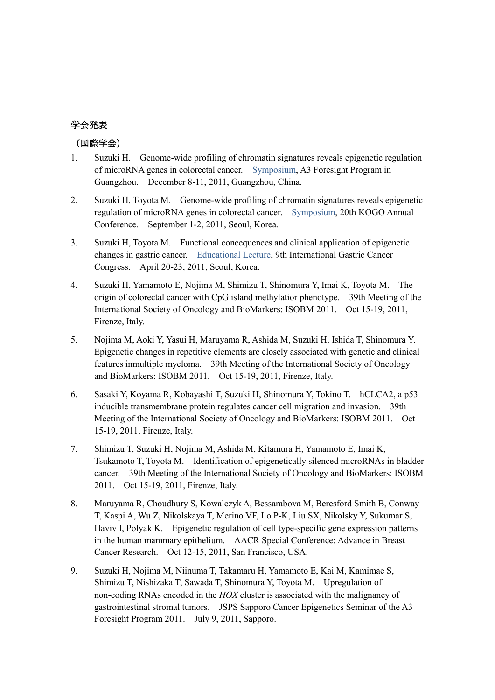# 学会発表

## (国際学会)

- 1. Suzuki H. Genome-wide profiling of chromatin signatures reveals epigenetic regulation of microRNA genes in colorectal cancer. Symposium, A3 Foresight Program in Guangzhou. December 8-11, 2011, Guangzhou, China.
- 2. Suzuki H, Toyota M. Genome-wide profiling of chromatin signatures reveals epigenetic regulation of microRNA genes in colorectal cancer. Symposium, 20th KOGO Annual Conference. September 1-2, 2011, Seoul, Korea.
- 3. Suzuki H, Toyota M. Functional concequences and clinical application of epigenetic changes in gastric cancer. Educational Lecture, 9th International Gastric Cancer Congress. April 20-23, 2011, Seoul, Korea.
- 4. Suzuki H, Yamamoto E, Nojima M, Shimizu T, Shinomura Y, Imai K, Toyota M. The origin of colorectal cancer with CpG island methylatior phenotype. 39th Meeting of the International Society of Oncology and BioMarkers: ISOBM 2011. Oct 15-19, 2011, Firenze, Italy.
- 5. Nojima M, Aoki Y, Yasui H, Maruyama R, Ashida M, Suzuki H, Ishida T, Shinomura Y. Epigenetic changes in repetitive elements are closely associated with genetic and clinical features inmultiple myeloma. 39th Meeting of the International Society of Oncology and BioMarkers: ISOBM 2011. Oct 15-19, 2011, Firenze, Italy.
- 6. Sasaki Y, Koyama R, Kobayashi T, Suzuki H, Shinomura Y, Tokino T. hCLCA2, a p53 inducible transmembrane protein regulates cancer cell migration and invasion. 39th Meeting of the International Society of Oncology and BioMarkers: ISOBM 2011. Oct 15-19, 2011, Firenze, Italy.
- 7. Shimizu T, Suzuki H, Nojima M, Ashida M, Kitamura H, Yamamoto E, Imai K, Tsukamoto T, Toyota M. Identification of epigenetically silenced microRNAs in bladder cancer. 39th Meeting of the International Society of Oncology and BioMarkers: ISOBM 2011. Oct 15-19, 2011, Firenze, Italy.
- 8. Maruyama R, Choudhury S, Kowalczyk A, Bessarabova M, Beresford Smith B, Conway T, Kaspi A, Wu Z, Nikolskaya T, Merino VF, Lo P-K, Liu SX, Nikolsky Y, Sukumar S, Haviv I, Polyak K. Epigenetic regulation of cell type-specific gene expression patterns in the human mammary epithelium. AACR Special Conference: Advance in Breast Cancer Research. Oct 12-15, 2011, San Francisco, USA.
- 9. Suzuki H, Nojima M, Niinuma T, Takamaru H, Yamamoto E, Kai M, Kamimae S, Shimizu T, Nishizaka T, Sawada T, Shinomura Y, Toyota M. Upregulation of non-coding RNAs encoded in the *HOX* cluster is associated with the malignancy of gastrointestinal stromal tumors. JSPS Sapporo Cancer Epigenetics Seminar of the A3 Foresight Program 2011. July 9, 2011, Sapporo.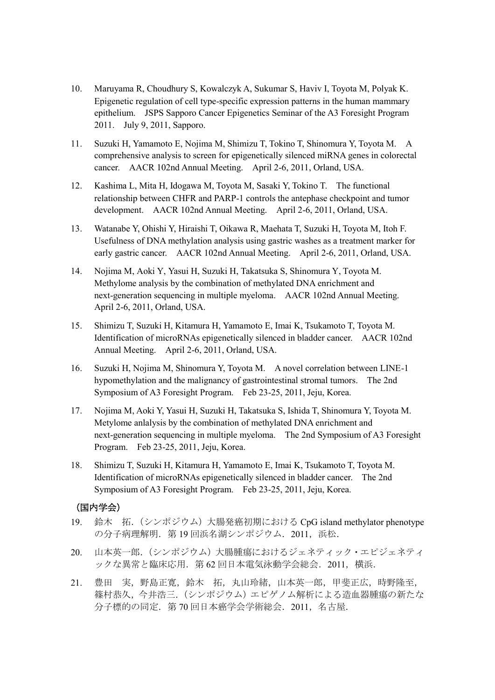- 10. Maruyama R, Choudhury S, Kowalczyk A, Sukumar S, Haviv I, Toyota M, Polyak K. Epigenetic regulation of cell type-specific expression patterns in the human mammary epithelium. JSPS Sapporo Cancer Epigenetics Seminar of the A3 Foresight Program 2011. July 9, 2011, Sapporo.
- 11. Suzuki H, Yamamoto E, Nojima M, Shimizu T, Tokino T, Shinomura Y, Toyota M. A comprehensive analysis to screen for epigenetically silenced miRNA genes in colorectal cancer. AACR 102nd Annual Meeting. April 2-6, 2011, Orland, USA.
- 12. Kashima L, Mita H, Idogawa M, Toyota M, Sasaki Y, Tokino T. The functional relationship between CHFR and PARP-1 controls the antephase checkpoint and tumor development. AACR 102nd Annual Meeting. April 2-6, 2011, Orland, USA.
- 13. Watanabe Y, Ohishi Y, Hiraishi T, Oikawa R, Maehata T, Suzuki H, Toyota M, Itoh F. Usefulness of DNA methylation analysis using gastric washes as a treatment marker for early gastric cancer. AACR 102nd Annual Meeting. April 2-6, 2011, Orland, USA.
- 14. Nojima M, Aoki Y, Yasui H, Suzuki H, Takatsuka S, Shinomura Y, Toyota M. Methylome analysis by the combination of methylated DNA enrichment and next-generation sequencing in multiple myeloma. AACR 102nd Annual Meeting. April 2-6, 2011, Orland, USA.
- 15. Shimizu T, Suzuki H, Kitamura H, Yamamoto E, Imai K, Tsukamoto T, Toyota M. Identification of microRNAs epigenetically silenced in bladder cancer. AACR 102nd Annual Meeting. April 2-6, 2011, Orland, USA.
- 16. Suzuki H, Nojima M, Shinomura Y, Toyota M. A novel correlation between LINE-1 hypomethylation and the malignancy of gastrointestinal stromal tumors. The 2nd Symposium of A3 Foresight Program. Feb 23-25, 2011, Jeju, Korea.
- 17. Nojima M, Aoki Y, Yasui H, Suzuki H, Takatsuka S, Ishida T, Shinomura Y, Toyota M. Metylome anlalysis by the combination of methylated DNA enrichment and next-generation sequencing in multiple myeloma. The 2nd Symposium of A3 Foresight Program. Feb 23-25, 2011, Jeju, Korea.
- 18. Shimizu T, Suzuki H, Kitamura H, Yamamoto E, Imai K, Tsukamoto T, Toyota M. Identification of microRNAs epigenetically silenced in bladder cancer. The 2nd Symposium of A3 Foresight Program. Feb 23-25, 2011, Jeju, Korea.

#### (国内学会)

- 19. 鈴木 拓.(シンポジウム)大腸発癌初期における CpG island methylator phenotype の分子病理解明. 第19回浜名湖シンポジウム. 2011, 浜松.
- 20. 山本英一郎.(シンポジウム)大腸腫瘍におけるジェネティック・エピジェネティ ックな異常と臨床応用. 第 62 回日本電気泳動学会総会. 2011, 横浜.
- 21. 豊田 実,野島正寛,鈴木 拓,丸山玲緒,山本英一郎,甲斐正広,時野隆至, 篠村恭久,今井浩三.(シンポジウム)エピゲノム解析による造血器腫瘍の新たな 分子標的の同定.第 70 回日本癌学会学術総会.2011,名古屋.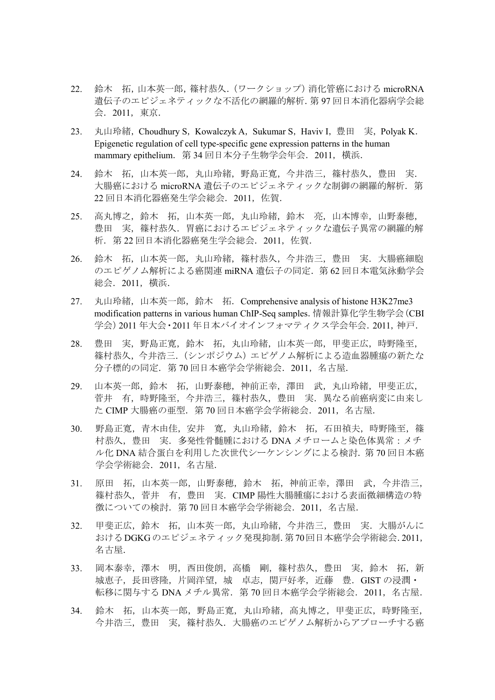- 22. 鈴木 拓,山本英一郎,篠村恭久.(ワークショップ)消化管癌における microRNA 遺伝子のエピジェネティックな不活化の網羅的解析.第 97 回日本消化器病学会総 会.2011,東京.
- 23. 丸山玲緒, Choudhury S, Kowalczyk A, Sukumar S, Haviv I, 豊田 実, Polyak K. Epigenetic regulation of cell type-specific gene expression patterns in the human mammary epithelium. 第 34 回日本分子生物学会年会. 2011, 横浜.
- 24. 鈴木 拓,山本英一郎,丸山玲緒,野島正寛,今井浩三,篠村恭久,豊田 実. 大腸癌における microRNA 遺伝子のエピジェネティックな制御の網羅的解析. 第 22 回日本消化器癌発生学会総会.2011,佐賀.
- 25. 高丸博之,鈴木 拓,山本英一郎,丸山玲緒,鈴木 亮,山本博幸,山野泰穂, 豊田 実,篠村恭久.胃癌におけるエピジェネティックな遺伝子異常の網羅的解 析.第 22 回日本消化器癌発生学会総会.2011,佐賀.
- 26. 鈴木 拓,山本英一郎,丸山玲緒,篠村恭久,今井浩三,豊田 実. 大腸癌細胞 のエピゲノム解析による癌関連 miRNA 遺伝子の同定. 第 62 回日本電気泳動学会 総会.2011,横浜.
- 27. 丸山玲緒,山本英一郎,鈴木 拓. Comprehensive analysis of histone H3K27me3 modification patterns in various human ChIP-Seq samples.情報計算化学生物学会(CBI 学会)2011 年大会・2011 年日本バイオインフォマティクス学会年会.2011,神戸.
- 28. 豊田 実,野島正寛,鈴木 拓,丸山玲緒,山本英一郎,甲斐正広,時野隆至, 篠村恭久,今井浩三.(シンポジウム)エピゲノム解析による造血器腫瘍の新たな 分子標的の同定.第 70 回日本癌学会学術総会.2011,名古屋.
- 29. 山本英一郎,鈴木 拓,山野泰穂,神前正幸,澤田 武,丸山玲緒,甲斐正広, 菅井 有,時野隆至,今井浩三,篠村恭久,豊田 実.異なる前癌病変に由来し た CIMP 大腸癌の亜型. 第 70 回日本癌学会学術総会. 2011, 名古屋.
- 30. 野島正寛,青木由佳,安井 寛,丸山玲緒,鈴木 拓,石田禎夫,時野隆至,篠 村恭久,豊田 実.多発性骨髄腫における DNA メチロームと染色体異常:メチ ル化 DNA 結合蛋白を利用した次世代シーケンシングによる検討. 第70回日本癌 学会学術総会.2011,名古屋.
- 31. 原田 拓,山本英一郎,山野泰穂,鈴木 拓,神前正幸,澤田 武,今井浩三, 篠村恭久,菅井 有,豊田 実.CIMP 陽性大腸腫瘍における表面微細構造の特 徴についての検討.第 70 回日本癌学会学術総会.2011,名古屋.
- 32. 甲斐正広,鈴木 拓,山本英一郎,丸山玲緒,今井浩三,豊田 実.大腸がんに おけるDGKGのエピジェネティック発現抑制.第70回日本癌学会学術総会.2011, 名古屋.
- 33. 岡本泰幸,澤木 明,西田俊朗,高橋 剛,篠村恭久,豊田 実,鈴木 拓,新 城恵子,長田啓隆,片岡洋望,城 卓志,関戸好孝,近藤 豊.GIST の浸潤・ 転移に関与する DNA メチル異常. 第 70 回日本癌学会学術総会. 2011, 名古屋.
- 34. 鈴木 拓,山本英一郎,野島正寛,丸山玲緒,高丸博之,甲斐正広,時野隆至, 今井浩三,豊田 実,篠村恭久.大腸癌のエピゲノム解析からアプローチする癌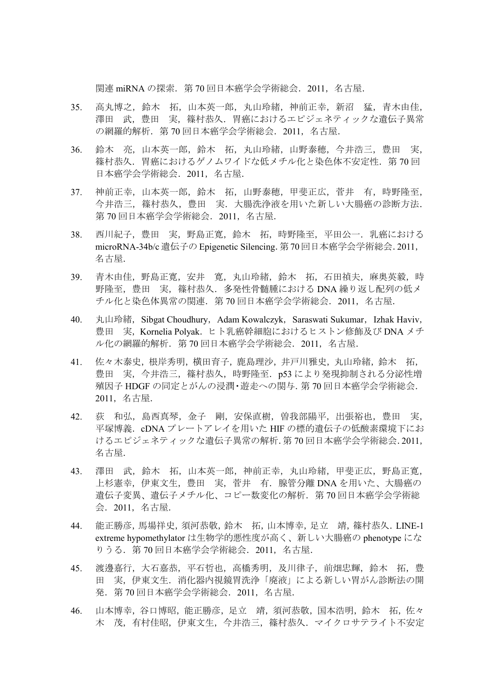関連 miRNA の探索.第 70 回日本癌学会学術総会.2011,名古屋.

- 35. 高丸博之,鈴木 拓,山本英一郎,丸山玲緒,神前正幸,新沼 猛,青木由佳, 澤田 武、豊田 実、篠村恭久. 胃癌におけるエピジェネティックな遺伝子異常 の網羅的解析. 第 70 回日本癌学会学術総会. 2011, 名古屋.
- 36. 鈴木 亮,山本英一郎,鈴木 拓,丸山玲緒,山野泰穂,今井浩三,豊田 実, 篠村恭久.胃癌におけるゲノムワイドな低メチル化と染色体不安定性.第 70 回 日本癌学会学術総会.2011,名古屋.
- 37. 神前正幸,山本英一郎,鈴木 拓,山野泰穂,甲斐正広,菅井 有,時野隆至, 今井浩三,篠村恭久,豊田 実.大腸洗浄液を用いた新しい大腸癌の診断方法. 第 70 回日本癌学会学術総会.2011,名古屋.
- 38. 西川紀子,豊田 実,野島正寛,鈴木 拓,時野隆至,平田公一.乳癌における microRNA-34b/c 遺伝子の Epigenetic Silencing.第70 回日本癌学会学術総会.2011, 名古屋.
- 39. 青木由佳,野島正寛,安井 寛,丸山玲緒,鈴木 拓,石田禎夫,麻奥英毅,時 野隆至,豊田 実,篠村恭久.多発性骨髄腫における DNA 繰り返し配列の低メ チル化と染色体異常の関連.第 70 回日本癌学会学術総会.2011,名古屋.
- 40. 丸山玲緒, Sibgat Choudhury, Adam Kowalczyk, Saraswati Sukumar, Izhak Haviv, 豊田 実,Kornelia Polyak.ヒト乳癌幹細胞におけるヒストン修飾及び DNA メチ ル化の網羅的解析. 第 70 回日本癌学会学術総会. 2011, 名古屋.
- 41. 佐々木泰史,根岸秀明,横田育子,鹿島理沙,井戸川雅史,丸山玲緒,鈴木 拓, 豊田 実, 今井浩三, 篠村恭久, 時野隆至. p53 により発現抑制される分泌性増 殖因子 HDGF の同定とがんの浸潤・遊走への関与.第 70 回日本癌学会学術総会. 2011,名古屋.
- 42. 荻 和弘,島西真琴,金子 剛,安保直樹,曽我部陽平,出張裕也,豊田 実, 平塚博義.cDNA プレートアレイを用いた HIF の標的遺伝子の低酸素環境下にお けるエピジェネティックな遺伝子異常の解析.第 70 回日本癌学会学術総会.2011, 名古屋.
- 43. 澤田 武,鈴木 拓,山本英一郎,神前正幸,丸山玲緒,甲斐正広,野島正寛, 上杉憲幸,伊東文生,豊田 実,菅井 有.腺管分離 DNA を用いた、大腸癌の 遺伝子変異、遺伝子メチル化、コピー数変化の解析.第 70 回日本癌学会学術総 会.2011,名古屋.
- 44. 能正勝彦,馬場祥史,須河恭敬,鈴木 拓,山本博幸,足立 靖,篠村恭久.LINE-1 extreme hypomethylator は生物学的悪性度が高く、新しい大腸癌の phenotype にな りうる.第 70 回日本癌学会学術総会.2011,名古屋.
- 45. 渡邊嘉行,大石嘉恭,平石哲也,高橋秀明,及川律子,前畑忠輝,鈴木 拓,豊 田 実,伊東文生.消化器内視鏡胃洗浄「廃液」による新しい胃がん診断法の開 発.第 70 回日本癌学会学術総会.2011,名古屋.
- 46. 山本博幸,谷口博昭,能正勝彦,足立 靖,須河恭敬,国本浩明,鈴木 拓,佐々 木 茂,有村佳昭,伊東文生,今井浩三,篠村恭久.マイクロサテライト不安定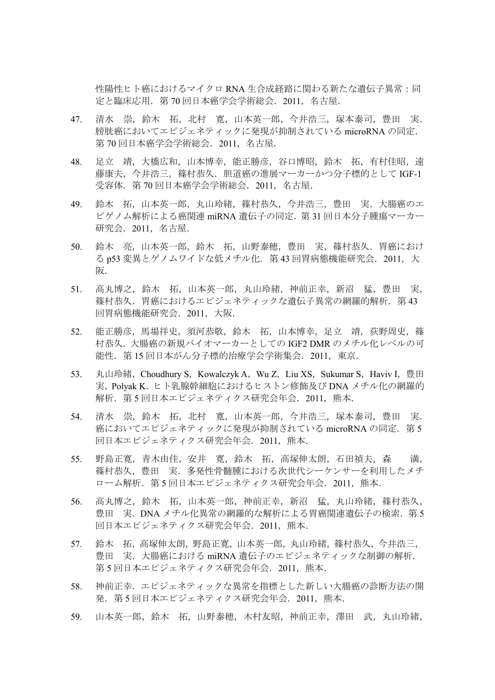性陽性ヒト癌におけるマイクロ RNA 生合成経路に関わる新たな遺伝子異常:同 定と臨床応用.第 70 回日本癌学会学術総会.2011,名古屋.

- 47. 清水 崇,鈴木 拓,北村 寛,山本英一郎,今井浩三,塚本泰司,豊田 実. 膀胱癌においてエピジェネティックに発現が抑制されている microRNA の同定. 第 70 回日本癌学会学術総会.2011,名古屋.
- 48. 足立 靖,大橋広和,山本博幸,能正勝彦,谷口博昭,鈴木 拓,有村佳昭,遠 藤康夫, 今井浩三, 篠村恭久. 胆道癌の進展マーカーかつ分子標的として IGF-1 受容体.第 70 回日本癌学会学術総会.2011,名古屋.
- 49. 鈴木 拓,山本英一郎,丸山玲緒,篠村恭久,今井浩三,豊田 実.大腸癌のエ ピゲノム解析による癌関連 miRNA 遺伝子の同定. 第31回日本分子腫瘍マーカー 研究会.2011,名古屋.
- 50. 鈴木 亮,山本英一郎,鈴木 拓,山野泰穂,豊田 実,篠村恭久.胃癌におけ る p53 変異とゲノムワイドな低メチル化. 第 43 回胃病態機能研究会. 2011, 大 阪.
- 51. 高丸博之,鈴木 拓,山本英一郎,丸山玲緒,神前正幸,新沼 猛,豊田 実, 篠村恭久. 胃癌におけるエピジェネティックな潰伝子異常の網羅的解析. 第43 回胃病態機能研究会.2011,大阪.
- 52. 能正勝彦,馬場祥史,須河恭敬,鈴木 拓,山本博幸,足立 靖,荻野周史,篠 村恭久.大腸癌の新規バイオマーカーとしての IGF2 DMR のメチル化レベルの可 能性.第 15 回日本がん分子標的治療学会学術集会.2011,東京.
- 53. 丸山玲緒, Choudhury S, Kowalczyk A, Wu Z, Liu XS, Sukumar S, Haviv I, 豊田 実,Polyak K.ヒト乳腺幹細胞におけるヒストン修飾及び DNA メチル化の網羅的 解析.第 5 回日本エピジェネティクス研究会年会.2011,熊本.
- 54. 清水 崇, 鈴木 拓, 北村 寛, 山本英一郎, 今井浩三, 塚本泰司, 豊田 実. 癌においてエピジェネティックに発現が抑制されている microRNA の同定. 第5 回日本エピジェネティクス研究会年会. 2011, 熊本.
- 55. 野島正寛,青木由佳,安井 寛,鈴木 拓,高塚伸太朗,石田禎夫,森 満, 篠村恭久,豊田 実.多発性骨髄腫における次世代シーケンサーを利用したメチ ローム解析. 第5回日本エピジェネティクス研究会年会. 2011, 熊本.
- 56. 高丸博之,鈴木 拓,山本英一郎,神前正幸,新沼 猛,丸山玲緒,篠村恭久, 豊田 実. DNA メチル化異常の網羅的な解析による胃癌関連遺伝子の検索. 第5 回日本エピジェネティクス研究会年会. 2011, 熊本.
- 57. 鈴木 拓,高塚伸太朗,野島正寛,山本英一郎,丸山玲緒,篠村恭久,今井浩三, 豊田 実.大腸癌における miRNA 遺伝子のエピジェネティックな制御の解析. 第5回日本エピジェネティクス研究会年会. 2011, 熊本.
- 58. 神前正幸. エピジェネティックな異常を指標とした新しい大腸癌の診断方法の開 発. 第5回日本エピジェネティクス研究会年会. 2011, 熊本.
- 59. 山本英一郎,鈴木 拓,山野泰穂,木村友昭,神前正幸,澤田 武,丸山玲緒,